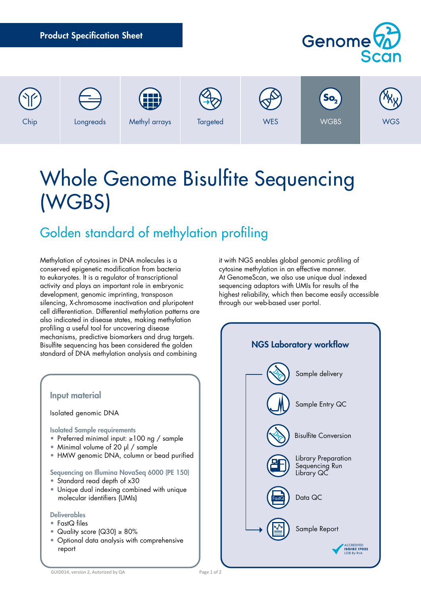| <b>Product Specification Sheet</b> |           |                    | Genome <sup>(2)</sup><br>Scan |            |                                |            |
|------------------------------------|-----------|--------------------|-------------------------------|------------|--------------------------------|------------|
| Chip                               | Longreads | 用<br>Methyl arrays | Targeted                      | <b>WES</b> | So <sub>2</sub><br><b>WGBS</b> | <b>WGS</b> |

# Whole Genome Bisulfite Sequencing (WGBS)

# Golden standard of methylation profiling

Methylation of cytosines in DNA molecules is a conserved epigenetic modification from bacteria to eukaryotes. It is a regulator of transcriptional activity and plays an important role in embryonic development, genomic imprinting, transposon silencing, X-chromosome inactivation and pluripotent cell differentiation. Differential methylation patterns are also indicated in disease states, making methylation profiling a useful tool for uncovering disease mechanisms, predictive biomarkers and drug targets. Bisulfite sequencing has been considered the golden standard of DNA methylation analysis and combining



it with NGS enables global genomic profiling of cytosine methylation in an effective manner. At GenomeScan, we also use unique dual indexed sequencing adaptors with UMIs for results of the highest reliability, which then become easily accessible through our web-based user portal.